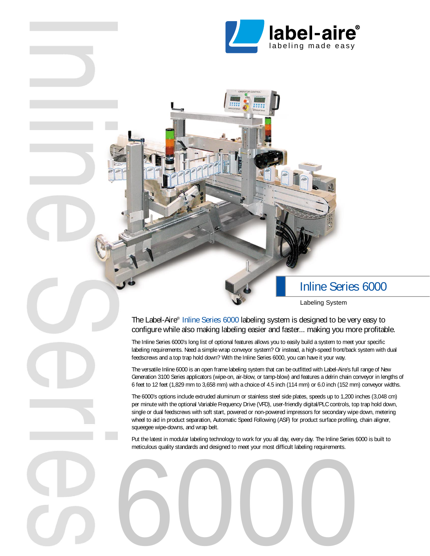

## Inline Series 6000

Labeling System

The Label-Aire® Inline Series 6000 labeling system is designed to be very easy to configure while also making labeling easier and faster... making you more profitable.

The Inline Series 6000's long list of optional features allows you to easily build a system to meet your specific labeling requirements. Need a simple wrap conveyor system? Or instead, a high-speed front/back system with dual feedscrews and a top trap hold down? With the Inline Series 6000, you can have it your way.

The versatile Inline 6000 is an open frame labeling system that can be outfitted with Label-Aire's full range of New Generation 3100 Series applicators (wipe-on, air-blow, or tamp-blow) and features a delrin chain conveyor in lengths of 6 feet to 12 feet (1,829 mm to 3,658 mm) with a choice of 4.5 inch (114 mm) or 6.0 inch (152 mm) conveyor widths.

The 6000's options include extruded aluminum or stainless steel side plates, speeds up to 1,200 inches (3,048 cm) per minute with the optional Variable Frequency Drive (VFD), user-friendly digital/PLC controls, top trap hold down, single or dual feedscrews with soft start, powered or non-powered impressors for secondary wipe down, metering wheel to aid in product separation, Automatic Speed Following (ASF) for product surface profiling, chain aligner, squeegee wipe-downs, and wrap belt.

Put the latest in modular labeling technology to work for you all day, every day. The Inline Series 6000 is built to meticulous quality standards and designed to meet your most difficult labeling requirements.

6000